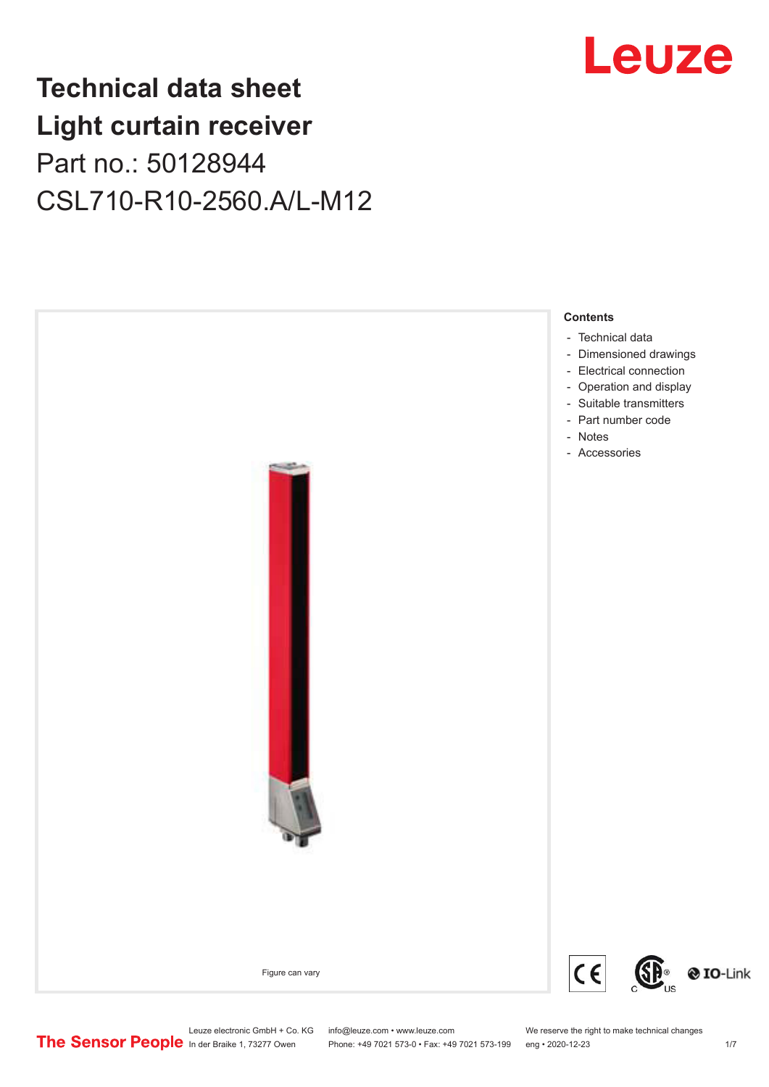## **Technical data sheet Light curtain receiver** Part no.: 50128944 CSL710-R10-2560.A/L-M12





Leuze electronic GmbH + Co. KG info@leuze.com • www.leuze.com We reserve the right to make technical changes<br>
The Sensor People in der Braike 1, 73277 Owen Phone: +49 7021 573-0 • Fax: +49 7021 573-199 eng • 2020-12-23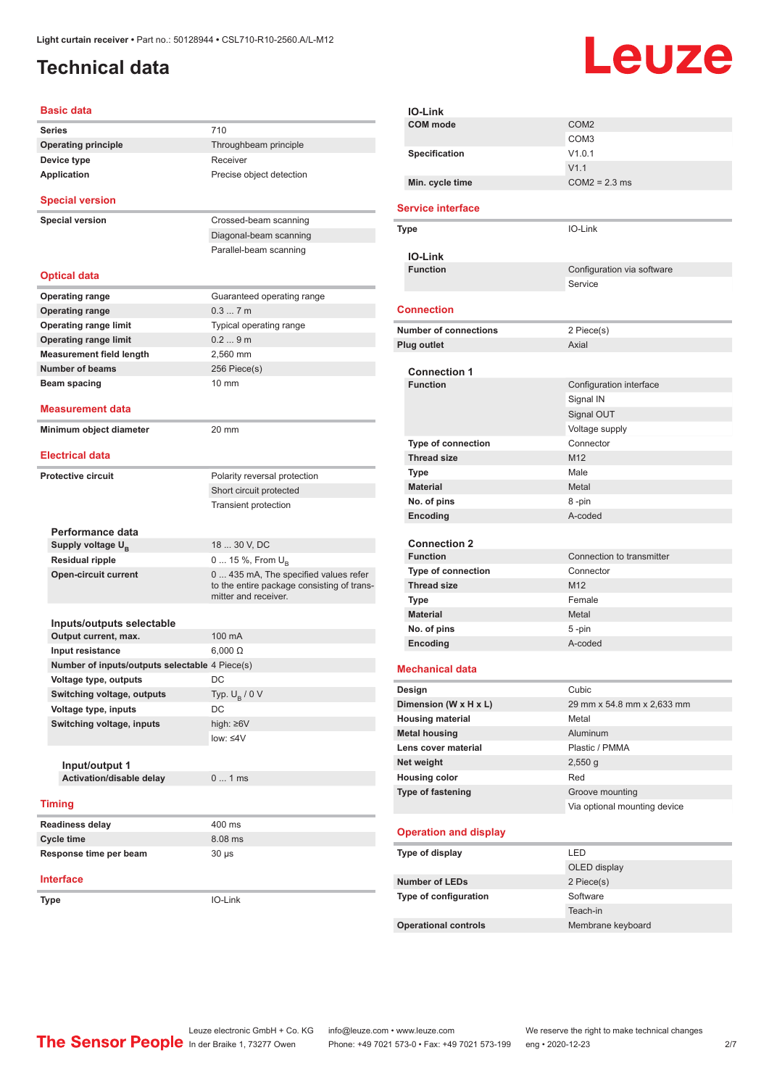## <span id="page-1-0"></span>**Technical data**

# Leuze

| <b>Basic data</b>                              |                                                                                                             |  |
|------------------------------------------------|-------------------------------------------------------------------------------------------------------------|--|
| <b>Series</b>                                  | 710                                                                                                         |  |
| <b>Operating principle</b>                     | Throughbeam principle                                                                                       |  |
| Device type                                    | Receiver                                                                                                    |  |
| <b>Application</b>                             | Precise object detection                                                                                    |  |
| <b>Special version</b>                         |                                                                                                             |  |
| <b>Special version</b>                         | Crossed-beam scanning                                                                                       |  |
|                                                | Diagonal-beam scanning                                                                                      |  |
|                                                | Parallel-beam scanning                                                                                      |  |
| <b>Optical data</b>                            |                                                                                                             |  |
| Operating range                                | Guaranteed operating range                                                                                  |  |
| <b>Operating range</b>                         | 0.37m                                                                                                       |  |
| <b>Operating range limit</b>                   | Typical operating range                                                                                     |  |
| <b>Operating range limit</b>                   | 0.29m                                                                                                       |  |
| <b>Measurement field length</b>                | 2,560 mm                                                                                                    |  |
| Number of beams                                | 256 Piece(s)                                                                                                |  |
| Beam spacing                                   | 10 mm                                                                                                       |  |
| Measurement data                               |                                                                                                             |  |
| Minimum object diameter                        | 20 mm                                                                                                       |  |
| <b>Electrical data</b>                         |                                                                                                             |  |
| <b>Protective circuit</b>                      | Polarity reversal protection                                                                                |  |
|                                                | Short circuit protected                                                                                     |  |
|                                                | <b>Transient protection</b>                                                                                 |  |
|                                                |                                                                                                             |  |
| Performance data                               |                                                                                                             |  |
| Supply voltage U <sub>B</sub>                  | 18  30 V, DC                                                                                                |  |
| <b>Residual ripple</b>                         | 0  15 %, From $U_{\rm B}$                                                                                   |  |
| <b>Open-circuit current</b>                    | 0  435 mA, The specified values refer<br>to the entire package consisting of trans-<br>mitter and receiver. |  |
|                                                |                                                                                                             |  |
| Inputs/outputs selectable                      |                                                                                                             |  |
| Output current, max.                           | 100 mA                                                                                                      |  |
| Input resistance                               | $6,000 \Omega$                                                                                              |  |
| Number of inputs/outputs selectable 4 Piece(s) |                                                                                                             |  |
| Voltage type, outputs                          | DC                                                                                                          |  |
| Switching voltage, outputs                     | Typ. $U_B / 0 V$                                                                                            |  |
| Voltage type, inputs                           | DC                                                                                                          |  |
| Switching voltage, inputs                      | high: $\geq 6V$                                                                                             |  |
|                                                | low: $\leq 4V$                                                                                              |  |
| Input/output 1                                 |                                                                                                             |  |
| Activation/disable delay                       | 01ms                                                                                                        |  |
|                                                |                                                                                                             |  |
| <b>Timing</b>                                  |                                                                                                             |  |
| <b>Readiness delay</b>                         | 400 ms                                                                                                      |  |
| <b>Cycle time</b>                              | 8.08 ms                                                                                                     |  |
| Response time per beam                         | $30 \mu s$                                                                                                  |  |
| Interface                                      |                                                                                                             |  |
| Type                                           | IO-Link                                                                                                     |  |
|                                                |                                                                                                             |  |

| <b>IO-Link</b>                            |                                      |
|-------------------------------------------|--------------------------------------|
| <b>COM</b> mode                           | COM <sub>2</sub><br>COM <sub>3</sub> |
| Specification                             | V1.0.1                               |
|                                           | V1.1                                 |
| Min. cycle time                           | $COM2 = 2.3$ ms                      |
| <b>Service interface</b>                  |                                      |
|                                           | IO-Link                              |
| Type                                      |                                      |
| <b>IO-Link</b>                            |                                      |
| <b>Function</b>                           | Configuration via software           |
|                                           | Service                              |
| <b>Connection</b>                         |                                      |
| <b>Number of connections</b>              | 2 Piece(s)                           |
| Plug outlet                               | Axial                                |
|                                           |                                      |
| <b>Connection 1</b>                       |                                      |
| <b>Function</b>                           | Configuration interface              |
|                                           | Signal IN                            |
|                                           | Signal OUT                           |
|                                           | Voltage supply                       |
| Type of connection                        | Connector                            |
| <b>Thread size</b>                        | M <sub>12</sub>                      |
| Type                                      | Male                                 |
| <b>Material</b>                           | Metal                                |
| No. of pins                               | 8-pin                                |
| Encoding                                  | A-coded                              |
| <b>Connection 2</b>                       |                                      |
| <b>Function</b>                           | Connection to transmitter            |
| Type of connection                        | Connector                            |
| <b>Thread size</b>                        | M <sub>12</sub>                      |
| Type                                      | Female                               |
| <b>Material</b>                           | Metal                                |
| No. of pins                               | 5-pin                                |
| Encoding                                  | A-coded                              |
|                                           |                                      |
| <b>Mechanical data</b>                    |                                      |
| Design                                    | Cubic                                |
| Dimension (W x H x L)                     | 29 mm x 54.8 mm x 2,633 mm           |
| <b>Housing material</b>                   | Metal                                |
| <b>Metal housing</b>                      | Aluminum                             |
| Lens cover material                       | Plastic / PMMA                       |
| Net weight                                | $2,550$ g<br>Red                     |
| <b>Housing color</b><br>Type of fastening | Groove mounting                      |
|                                           | Via optional mounting device         |
|                                           |                                      |
| <b>Operation and display</b>              |                                      |
| Type of display                           | LED                                  |
|                                           | OLED display                         |
| <b>Number of LEDs</b>                     | 2 Piece(s)                           |
| Type of configuration                     | Software                             |
|                                           | Teach-in                             |
| <b>Operational controls</b>               | Membrane keyboard                    |
|                                           |                                      |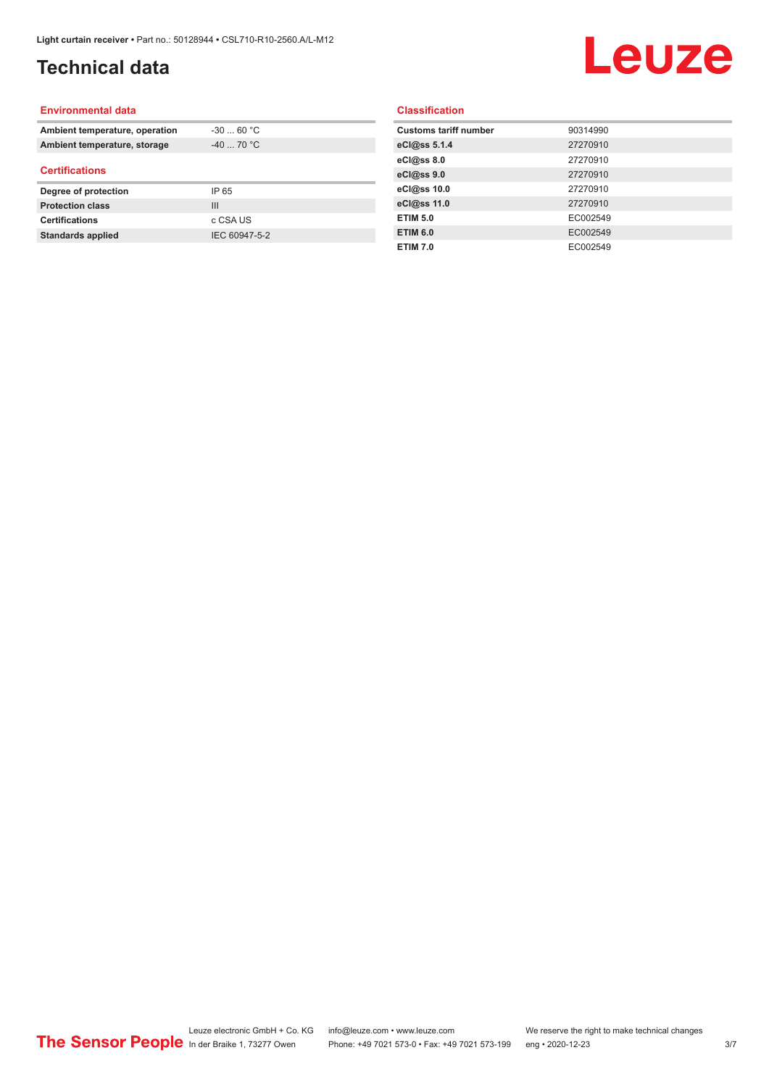## **Technical data**

## Leuze

#### **Environmental data**

| Ambient temperature, operation | $-30$ 60 °C    |  |
|--------------------------------|----------------|--|
| Ambient temperature, storage   | $-40$ 70 °C    |  |
| <b>Certifications</b>          |                |  |
| Degree of protection           | IP 65          |  |
| <b>Protection class</b>        | $\mathbf{III}$ |  |
| <b>Certifications</b>          | c CSA US       |  |
| <b>Standards applied</b>       | IEC 60947-5-2  |  |

#### **Classification**

| <b>Customs tariff number</b> | 90314990 |
|------------------------------|----------|
| eCl@ss 5.1.4                 | 27270910 |
| eCl@ss 8.0                   | 27270910 |
| eCl@ss 9.0                   | 27270910 |
| eCl@ss 10.0                  | 27270910 |
| eCl@ss 11.0                  | 27270910 |
| <b>ETIM 5.0</b>              | EC002549 |
| <b>ETIM 6.0</b>              | EC002549 |
| <b>ETIM 7.0</b>              | EC002549 |
|                              |          |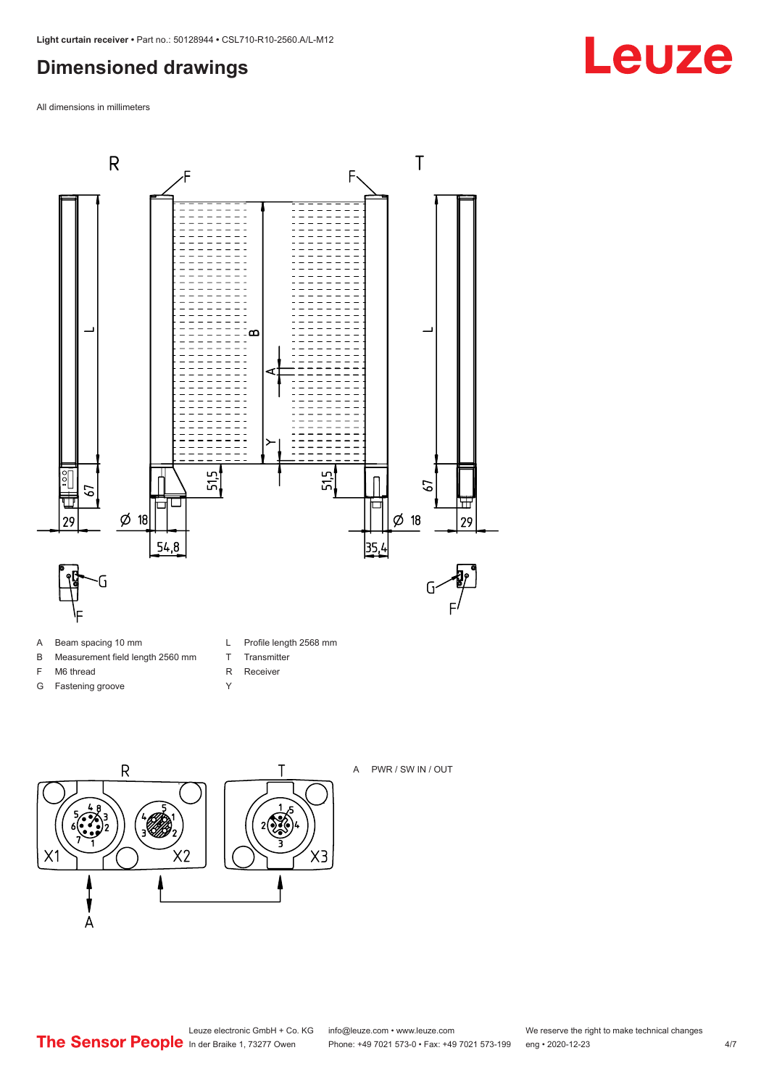## <span id="page-3-0"></span>**Dimensioned drawings**

All dimensions in millimeters



- A Beam spacing 10 mm
- B Measurement field length 2560 mm
- F M6 thread
- G Fastening groove
- L Profile length 2568 mm

 $X3$ 

- T Transmitter
- R Receiver
- Y



A PWR / SW IN / OUT

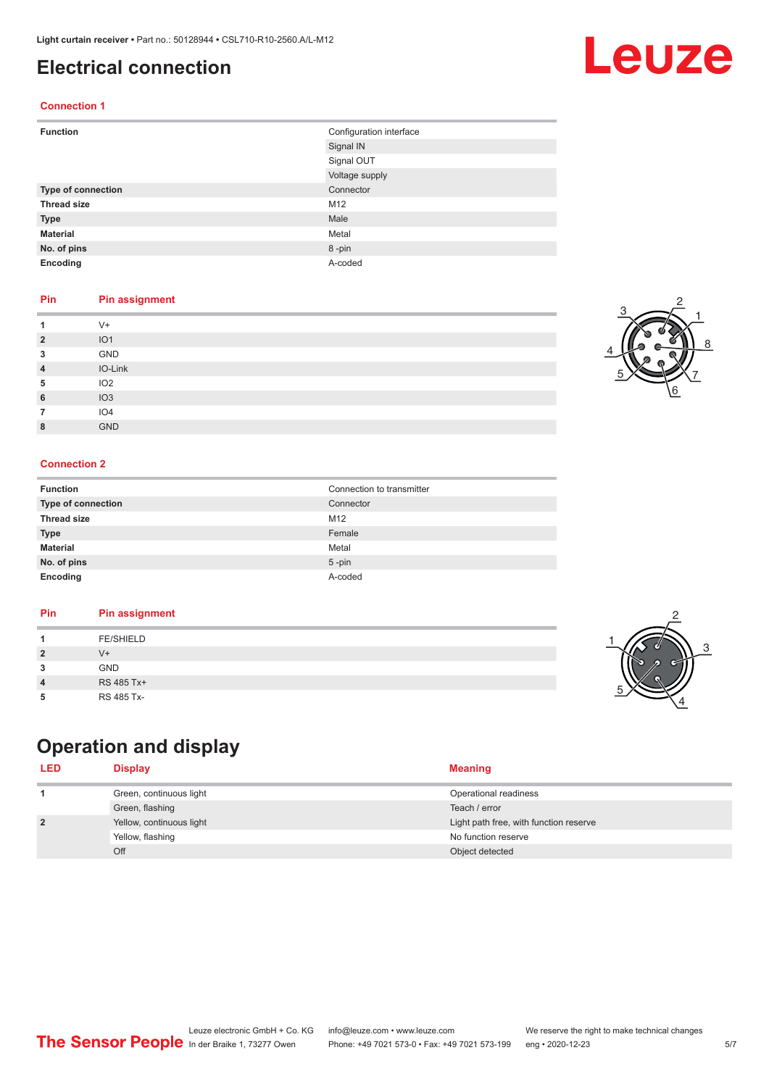### <span id="page-4-0"></span>**Electrical connection**

#### **Connection 1**

| <b>Function</b>    | Configuration interface |  |
|--------------------|-------------------------|--|
|                    | Signal IN               |  |
|                    | Signal OUT              |  |
|                    | Voltage supply          |  |
| Type of connection | Connector               |  |
| <b>Thread size</b> | M12                     |  |
| <b>Type</b>        | Male                    |  |
| <b>Material</b>    | Metal                   |  |
| No. of pins        | 8-pin                   |  |
| Encoding           | A-coded                 |  |

#### **Pin Pin assignment**

|                | $V +$           |
|----------------|-----------------|
| $\overline{2}$ | IO <sub>1</sub> |
| 3              | GND             |
| 4              | IO-Link         |
| 5              | IO <sub>2</sub> |
| 6              | IO3             |
|                | IO <sub>4</sub> |
| 8              | <b>GND</b>      |

#### **Connection 2**

| <b>Function</b>    | Connection to transmitter |
|--------------------|---------------------------|
| Type of connection | Connector                 |
| <b>Thread size</b> | M <sub>12</sub>           |
| <b>Type</b>        | Female                    |
| <b>Material</b>    | Metal                     |
| No. of pins        | $5$ -pin                  |
| Encoding           | A-coded                   |

#### **Pin Pin assignment**

## **Operation and display**

| <b>LED</b>     | <b>Display</b>           | <b>Meaning</b>                         |
|----------------|--------------------------|----------------------------------------|
|                | Green, continuous light  | Operational readiness                  |
|                | Green, flashing          | Teach / error                          |
| $\overline{2}$ | Yellow, continuous light | Light path free, with function reserve |
|                | Yellow, flashing         | No function reserve                    |
|                | Off                      | Object detected                        |







2

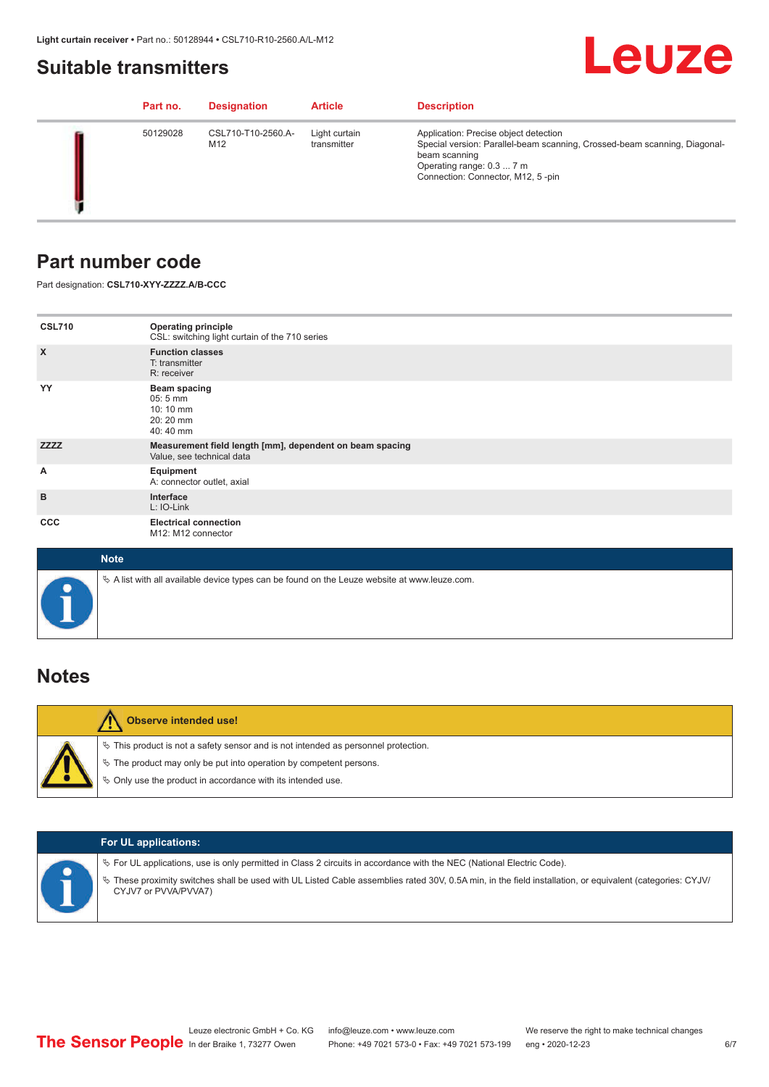### <span id="page-5-0"></span>**Suitable transmitters**

## Leuze

|  | Part no. | <b>Designation</b>        | <b>Article</b>               | <b>Description</b>                                                                                                                                                                                    |
|--|----------|---------------------------|------------------------------|-------------------------------------------------------------------------------------------------------------------------------------------------------------------------------------------------------|
|  | 50129028 | CSL710-T10-2560.A-<br>M12 | Light curtain<br>transmitter | Application: Precise object detection<br>Special version: Parallel-beam scanning, Crossed-beam scanning, Diagonal-<br>beam scanning<br>Operating range: 0.3  7 m<br>Connection: Connector, M12, 5-pin |

### **Part number code**

Part designation: **CSL710-XYY-ZZZZ.A/B-CCC**

| <b>CSL710</b>             | <b>Operating principle</b><br>CSL: switching light curtain of the 710 series               |
|---------------------------|--------------------------------------------------------------------------------------------|
| $\boldsymbol{\mathsf{X}}$ | <b>Function classes</b><br>T: transmitter<br>R: receiver                                   |
| YY                        | <b>Beam spacing</b><br>$05:5 \, \text{mm}$<br>$10:10 \, \text{mm}$<br>20:20 mm<br>40:40 mm |
| <b>ZZZZ</b>               | Measurement field length [mm], dependent on beam spacing<br>Value, see technical data      |
| А                         | Equipment<br>A: connector outlet, axial                                                    |
| B                         | Interface<br>L: IO-Link                                                                    |
| <b>CCC</b>                | <b>Electrical connection</b><br>M12: M12 connector                                         |

| <b>Note</b>                                                                                       |
|---------------------------------------------------------------------------------------------------|
| Vector A list with all available device types can be found on the Leuze website at www.leuze.com. |

## **Notes**

| <b>Observe intended use!</b>                                                                                                                                                                                                     |
|----------------------------------------------------------------------------------------------------------------------------------------------------------------------------------------------------------------------------------|
| $\%$ This product is not a safety sensor and is not intended as personnel protection.<br>$\%$ The product may only be put into operation by competent persons.<br>$\%$ Only use the product in accordance with its intended use. |

|  | <b>For UL applications:</b>                                                                                                                                                                                                                                                                   |
|--|-----------------------------------------------------------------------------------------------------------------------------------------------------------------------------------------------------------------------------------------------------------------------------------------------|
|  | $\%$ For UL applications, use is only permitted in Class 2 circuits in accordance with the NEC (National Electric Code).<br>These proximity switches shall be used with UL Listed Cable assemblies rated 30V, 0.5A min, in the field installation, or equivalent (categories: CYJV/<br>$\phi$ |
|  | CYJV7 or PVVA/PVVA7)                                                                                                                                                                                                                                                                          |